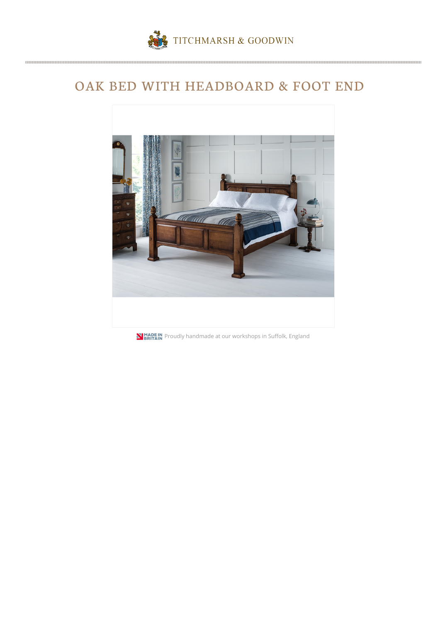

# OAK BED WITH HEADBOARD & FOOT END



**NIMADE IN**<br>**PRITAIN** Proudly handmade at our workshops in Suffolk, England